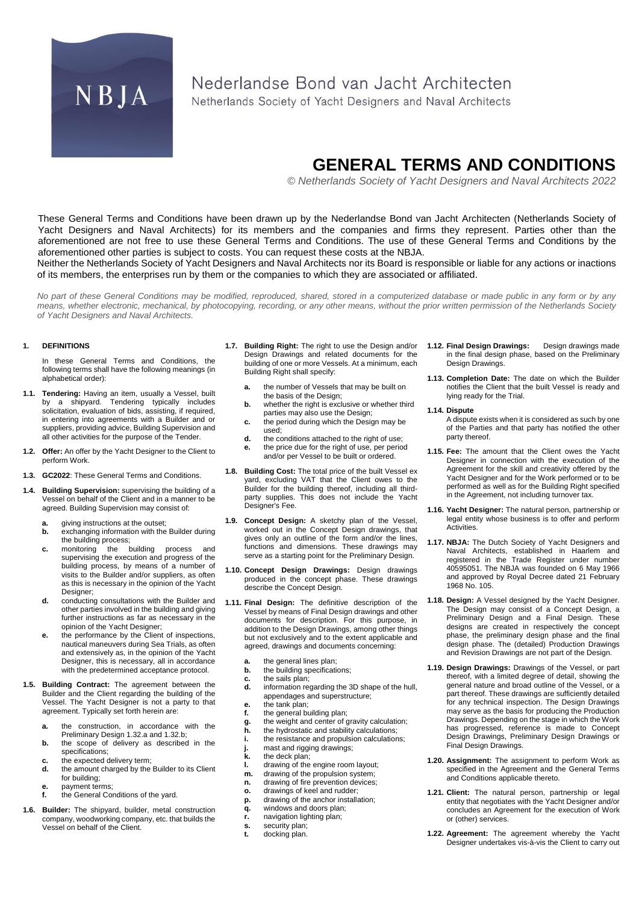

# Nederlandse Bond van Jacht Architecten

Netherlands Society of Yacht Designers and Naval Architects

# **GENERAL TERMS AND CONDITIONS**

*© Netherlands Society of Yacht Designers and Naval Architects 2022*

These General Terms and Conditions have been drawn up by the Nederlandse Bond van Jacht Architecten (Netherlands Society of Yacht Designers and Naval Architects) for its members and the companies and firms they represent. Parties other than the aforementioned are not free to use these General Terms and Conditions. The use of these General Terms and Conditions by the aforementioned other parties is subject to costs. You can request these costs at the NBJA.

Neither the Netherlands Society of Yacht Designers and Naval Architects nor its Board is responsible or liable for any actions or inactions of its members, the enterprises run by them or the companies to which they are associated or affiliated.

*No part of these General Conditions may be modified, reproduced, shared, stored in a computerized database or made public in any form or by any means, whether electronic, mechanical, by photocopying, recording, or any other means, without the prior written permission of the Netherlands Society of Yacht Designers and Naval Architects.*

# **1. DEFINITIONS**

In these General Terms and Conditions, the following terms shall have the following meanings (in alphabetical order):

- **1.1. Tendering:** Having an item, usually a Vessel, built by a shipyard. Tendering typically includes solicitation, evaluation of bids, assisting, if required, in entering into agreements with a Builder and or suppliers, providing advice, Building Supervision and all other activities for the purpose of the Tender.
- **1.2. Offer:** An offer by the Yacht Designer to the Client to perform Work.
- **1.3. GC2022**: These General Terms and Conditions.
- **1.4. Building Supervision:** supervising the building of a Vessel on behalf of the Client and in a manner to be agreed. Building Supervision may consist of:
	- **a.** giving instructions at the outset;<br>**b.** exchanging information with the
	- **b.** exchanging information with the Builder during the building process;
	- **c.** monitoring the building process and supervising the execution and progress of the building process, by means of a number of visits to the Builder and/or suppliers, as often as this is necessary in the opinion of the Yacht Designer;
	- **d.** conducting consultations with the Builder and other parties involved in the building and giving further instructions as far as necessary in the opinion of the Yacht Designer;
	- **e.** the performance by the Client of inspections, nautical maneuvers during Sea Trials, as often and extensively as, in the opinion of the Yacht Designer, this is necessary, all in accordance with the predetermined acceptance protocol.
- **1.5. Building Contract:** The agreement between the Builder and the Client regarding the building of the Vessel. The Yacht Designer is not a party to that agreement. Typically set forth herein are:
	- **a.** the construction, in accordance with the Preliminary Desig[n 1.32.a](#page-1-0) an[d 1.32.b;](#page-1-1)
	- **b.** the scope of delivery as described in the specifications;
	- **c.** the expected delivery term;<br>**d.** the amount charaed by the
	- **d.** the amount charged by the Builder to its Client for building;
	- **e.** payment terms;<br>**f** the General Co
	- **f.** the General Conditions of the yard.
- **1.6. Builder:** The shipyard, builder, metal construction company, woodworking company, etc. that builds the Vessel on behalf of the Client.
- **1.7. Building Right:** The right to use the Design and/or Design Drawings and related documents for the building of one or more Vessels. At a minimum, each Building Right shall specify:
	- **a.** the number of Vessels that may be built on the basis of the Design;
	- **b.** whether the right is exclusive or whether third parties may also use the Design;
	- **c.** the period during which the Design may be used;
	- **d.** the conditions attached to the right of use;
	- **e.** the price due for the right of use, per period and/or per Vessel to be built or ordered.
- **1.8. Building Cost:** The total price of the built Vessel ex yard, excluding VAT that the Client owes to the Builder for the building thereof, including all thirdparty supplies. This does not include the Yacht Designer's Fee.
- **1.9. Concept Design:** A sketchy plan of the Vessel, worked out in the Concept Design drawings, that gives only an outline of the form and/or the lines, functions and dimensions. These drawings may serve as a starting point for the Preliminary Design.
- **1.10. Concept Design Drawings:** Design drawings produced in the concept phase. These drawings describe the Concept Design.
- **1.11. Final Design:** The definitive description of the Vessel by means of Final Design drawings and other documents for description. For this purpose, in addition to the Design Drawings, among other things but not exclusively and to the extent applicable and agreed, drawings and documents concerning:
	- **a.** the general lines plan;
	- **b.** the building specifications;
	- **c.** the sails plan;<br>**d.** information reg
	- **d.** information regarding the 3D shape of the hull, appendages and superstructure;
	- **e.** the tank plan;<br>**f.** the general bu
	- the general building plan;
	- **g.** the weight and center of gravity calculation;
	- **h.** the hydrostatic and stability calculations;
	- **i.** the resistance and propulsion calculations;
	- **j.** mast and rigging drawings;<br>**k.** the deck plan: **k.** the deck plan;
	- **l.** drawing of the engine room layout;
	-
	- **m.** drawing of the propulsion system;<br>**n.** drawing of fire prevention devices
	- **n.** drawing of fire prevention devices;<br>**o.** drawings of keel and rudder: **o.** drawings of keel and rudder;
	- **p.** drawing of the anchor installation;
	- **q.** windows and doors plan;
	- **r.** navigation lighting plan;
	- **s.** security plan;<br>**t.** docking plan.
	- **t.** docking plan.
- **1.12. Final Design Drawings:** Design drawings made in the final design phase, based on the Preliminary Design Drawings.
- **1.13. Completion Date:** The date on which the Builder notifies the Client that the built Vessel is ready and lying ready for the Trial.

## **1.14. Dispute**

- A dispute exists when it is considered as such by one of the Parties and that party has notified the other party thereof.
- **1.15. Fee:** The amount that the Client owes the Yacht Designer in connection with the execution of the Agreement for the skill and creativity offered by the Yacht Designer and for the Work performed or to be performed as well as for the Building Right specified in the Agreement, not including turnover tax.
- **1.16. Yacht Designer:** The natural person, partnership or legal entity whose business is to offer and perform Activities.
- **1.17. NBJA:** The Dutch Society of Yacht Designers and Naval Architects, established in Haarlem and<br>registered in the Trade Register under number Trade Register under number 40595051. The NBJA was founded on 6 May 1966 and approved by Royal Decree dated 21 February 1968 No. 105.
- **1.18. Design:** A Vessel designed by the Yacht Designer. The Design may consist of a Concept Design, a Preliminary Design and a Final Design. These designs are created in respectively the concept phase, the preliminary design phase and the final design phase. The (detailed) Production Drawings and Revision Drawings are not part of the Design.
- **1.19. Design Drawings:** Drawings of the Vessel, or part thereof, with a limited degree of detail, showing the general nature and broad outline of the Vessel, or a part thereof. These drawings are sufficiently detailed for any technical inspection. The Design Drawings may serve as the basis for producing the Production Drawings. Depending on the stage in which the Work has progressed, reference is made to Concept Design Drawings, Preliminary Design Drawings or Final Design Drawings.
- **1.20. Assignment:** The assignment to perform Work as specified in the Agreement and the General Terms and Conditions applicable thereto.
- **1.21. Client:** The natural person, partnership or legal entity that negotiates with the Yacht Designer and/or concludes an Agreement for the execution of Work or (other) services.
- **1.22. Agreement:** The agreement whereby the Yacht Designer undertakes vis-à-vis the Client to carry out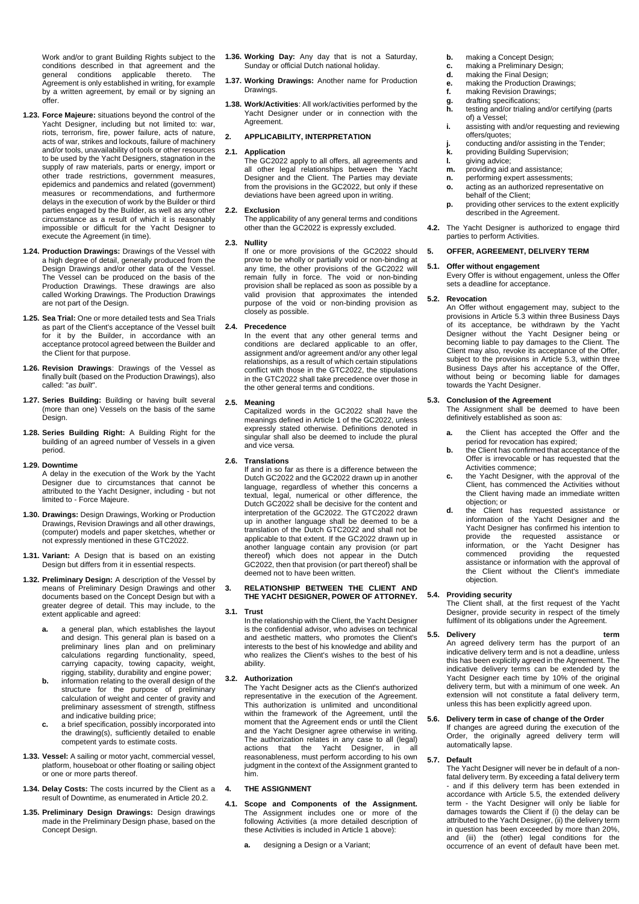Work and/or to grant Building Rights subject to the conditions described in that agreement and the general conditions applicable thereto. The Agreement is only established in writing, for example by a written agreement, by email or by signing an offer.

- **1.23. Force Majeure:** situations beyond the control of the Yacht Designer, including but not limited to: war, riots, terrorism, fire, power failure, acts of nature, acts of war, strikes and lockouts, failure of machinery and/or tools, unavailability of tools or other resources to be used by the Yacht Designers, stagnation in the supply of raw materials, parts or energy, import or other trade restrictions, government measures, epidemics and pandemics and related (government) measures or recommendations, and furthermore delays in the execution of work by the Builder or third parties engaged by the Builder, as well as any other circumstance as a result of which it is reasonably impossible or difficult for the Yacht Designer to execute the Agreement (in time).
- **1.24. Production Drawings:** Drawings of the Vessel with a high degree of detail, generally produced from the Design Drawings and/or other data of the Vessel. The Vessel can be produced on the basis of the Production Drawings. These drawings are also called Working Drawings. The Production Drawings are not part of the Design.
- **1.25. Sea Trial:** One or more detailed tests and Sea Trials as part of the Client's acceptance of the Vessel built for it by the Builder, in accordance with an acceptance protocol agreed between the Builder and the Client for that purpose.
- **1.26. Revision Drawings**: Drawings of the Vessel as finally built (based on the Production Drawings), also called: "*as built*".
- **1.27. Series Building:** Building or having built several (more than one) Vessels on the basis of the same Design.
- **1.28. Series Building Right:** A Building Right for the building of an agreed number of Vessels in a given period.

#### **1.29. Downtime**

A delay in the execution of the Work by the Yacht Designer due to circumstances that cannot be attributed to the Yacht Designer, including - but not limited to - Force Majeure.

- **1.30. Drawings:** Design Drawings, Working or Production Drawings, Revision Drawings and all other drawings, (computer) models and paper sketches, whether or not expressly mentioned in these GTC2022.
- **1.31. Variant:** A Design that is based on an existing Design but differs from it in essential respects.
- <span id="page-1-0"></span>**1.32. Preliminary Design:** A description of the Vessel by means of Preliminary Design Drawings and other documents based on the Concept Design but with a greater degree of detail. This may include, to the extent applicable and agreed:
	- **a.** a general plan, which establishes the layout and design. This general plan is based on a preliminary lines plan and on preliminary calculations regarding functionality, speed, carrying capacity, towing capacity, weight, rigging, stability, durability and engine power;
	- **b.** information relating to the overall design of the structure for the purpose of preliminary calculation of weight and center of gravity and preliminary assessment of strength, stiffness and indicative building price;
	- **c.** a brief specification, possibly incorporated into the drawing(s), sufficiently detailed to enable competent yards to estimate costs.
- <span id="page-1-1"></span>**1.33. Vessel:** A sailing or motor yacht, commercial vessel, platform, houseboat or other floating or sailing object or one or more parts thereof.
- **1.34. Delay Costs:** The costs incurred by the Client as a result of Downtime, as enumerated in Article [20.2.](#page-4-0)
- **1.35. Preliminary Design Drawings:** Design drawings made in the Preliminary Design phase, based on the Concept Design.
- **1.36. Working Day:** Any day that is not a Saturday, Sunday or official Dutch national holiday.
- **1.37. Working Drawings:** Another name for Production Drawings.
- **1.38. Work/Activities**: All work/activities performed by the Yacht Designer under or in connection with the Agreement.

# **2. APPLICABILITY, INTERPRETATION**

### **2.1. Application**

The GC2022 apply to all offers, all agreements and all other legal relationships between the Yacht Designer and the Client. The Parties may deviate from the provisions in the GC2022, but only if these deviations have been agreed upon in writing.

#### **2.2. Exclusion**

The applicability of any general terms and conditions other than the GC2022 is expressly excluded.

#### **2.3. Nullity**

If one or more provisions of the GC2022 should prove to be wholly or partially void or non-binding at any time, the other provisions of the GC2022 will remain fully in force. The void or non-binding provision shall be replaced as soon as possible by a valid provision that approximates the intended purpose of the void or non-binding provision as closely as possible.

### **2.4. Precedence**

In the event that any other general terms and conditions are declared applicable to an offer, assignment and/or agreement and/or any other legal relationships, as a result of which certain stipulations conflict with those in the GTC2022, the stipulations in the GTC2022 shall take precedence over those in the other general terms and conditions.

### **2.5. Meaning**

Capitalized words in the GC2022 shall have the meanings defined in Article 1 of the GC2022, unless expressly stated otherwise. Definitions denoted in singular shall also be deemed to include the plural and vice versa.

## **2.6. Translations**

If and in so far as there is a difference between the Dutch GC2022 and the GC2022 drawn up in another language, regardless of whether this concerns a textual, legal, numerical or other difference, the Dutch GC2022 shall be decisive for the content and interpretation of the GC2022. The GTC2022 drawn up in another language shall be deemed to be a translation of the Dutch GTC2022 and shall not be applicable to that extent. If the GC2022 drawn up in another language contain any provision (or part thereof) which does not appear in the Dutch GC2022, then that provision (or part thereof) shall be deemed not to have been written.

### **3. RELATIONSHIP BETWEEN THE CLIENT AND THE YACHT DESIGNER, POWER OF ATTORNEY.**

### **3.1. Trust**

In the relationship with the Client, the Yacht Designer is the confidential advisor, who advises on technical and aesthetic matters, who promotes the Client's interests to the best of his knowledge and ability and who realizes the Client's wishes to the best of his ability.

### <span id="page-1-4"></span>**3.2. Authorization**

The Yacht Designer acts as the Client's authorized representative in the execution of the Agreement. This authorization is unlimited and unconditional within the framework of the Agreement, until the moment that the Agreement ends or until the Client and the Yacht Designer agree otherwise in writing. The authorization relates in any case to all (legal) actions that the Yacht Designer, in all reasonableness, must perform according to his own judgment in the context of the Assignment granted to him.

#### **4. THE ASSIGNMENT**

- **4.1. Scope and Components of the Assignment.**  The Assignment includes one or more of the following Activities (a more detailed description of these Activities is included in Article 1 above):
	- **a.** designing a Design or a Variant:
- **b.** making a Concept Design;<br>**c.** making a Preliminary Desi
- **c.** making a Preliminary Design;<br>**d.** making the Final Design;
- making the Final Design;
- **e.** making the Production Drawings;<br>**f.** making Revision Drawings:
- **f.** making Revision Drawings;<br>**g.** drafting specifications; **g.** drafting specifications;
- **h.** testing and/or trialing and/or certifying (parts of) a Vessel;
- **i.** assisting with and/or requesting and reviewing offers/quotes;
- **j.** conducting and/or assisting in the Tender;<br>**k.** providing Building Supervision:
- **k.** providing Building Supervision;<br>**I.** giving advice:
- **l.** giving advice;
- **m.** providing aid and assistance:
- **n.** performing expert assessments;<br>**o.** acting as an authorized represer **o.** acting as an authorized representative on behalf of the Client;
- **p.** providing other services to the extent explicitly described in the Agreement.
- **4.2.** The Yacht Designer is authorized to engage third parties to perform Activities.

## **5. OFFER, AGREEMENT, DELIVERY TERM**

#### **5.1. Offer without engagement**

Every Offer is without engagement, unless the Offer sets a deadline for acceptance.

#### **5.2. Revocation**

An Offer without engagement may, subject to the provisions in Article [5.3](#page-1-2) within three Business Days of its acceptance, be withdrawn by the Yacht Designer without the Yacht Designer being or becoming liable to pay damages to the Client. The Client may also, revoke its acceptance of the Offer, subject to the provisions in Article [5.3,](#page-1-2) within three Business Days after his acceptance of the Offer, without being or becoming liable for damages towards the Yacht Designer.

#### <span id="page-1-2"></span>**5.3. Conclusion of the Agreement**

The Assignment shall be deemed to have been definitively established as soon as:

- **a.** the Client has accepted the Offer and the period for revocation has expired;
- **b.** the Client has confirmed that acceptance of the Offer is irrevocable or has requested that the Activities commence;
- **c.** the Yacht Designer, with the approval of the Client, has commenced the Activities without the Client having made an immediate written objection; or
- **d.** the Client has requested assistance or information of the Yacht Designer and the Yacht Designer has confirmed his intention to provide the requested assistance or information, or the Yacht Designer has commenced providing the requested assistance or information with the approval of the Client without the Client's immediate objection.

# **5.4. Providing security**

The Client shall, at the first request of the Yacht Designer, provide security in respect of the timely fulfilment of its obligations under the Agreement.

#### <span id="page-1-3"></span>**5.5. Delivery term**

An agreed delivery term has the purport of an indicative delivery term and is not a deadline, unless this has been explicitly agreed in the Agreement. The indicative delivery terms can be extended by the Yacht Designer each time by 10% of the original delivery term, but with a minimum of one week. An extension will not constitute a fatal delivery term, unless this has been explicitly agreed upon.

### **5.6. Delivery term in case of change of the Order**

If changes are agreed during the execution of the Order, the originally agreed delivery term will automatically lapse.

# <span id="page-1-5"></span>**5.7. Default**

The Yacht Designer will never be in default of a nonfatal delivery term. By exceeding a fatal delivery term - and if this delivery term has been extended in accordance with Article [5.5,](#page-1-3) the extended delivery term - the Yacht Designer will only be liable for damages towards the Client if (i) the delay can be attributed to the Yacht Designer, (ii) the delivery term in question has been exceeded by more than 20%, and (iii) the (other) legal conditions for the occurrence of an event of default have been met.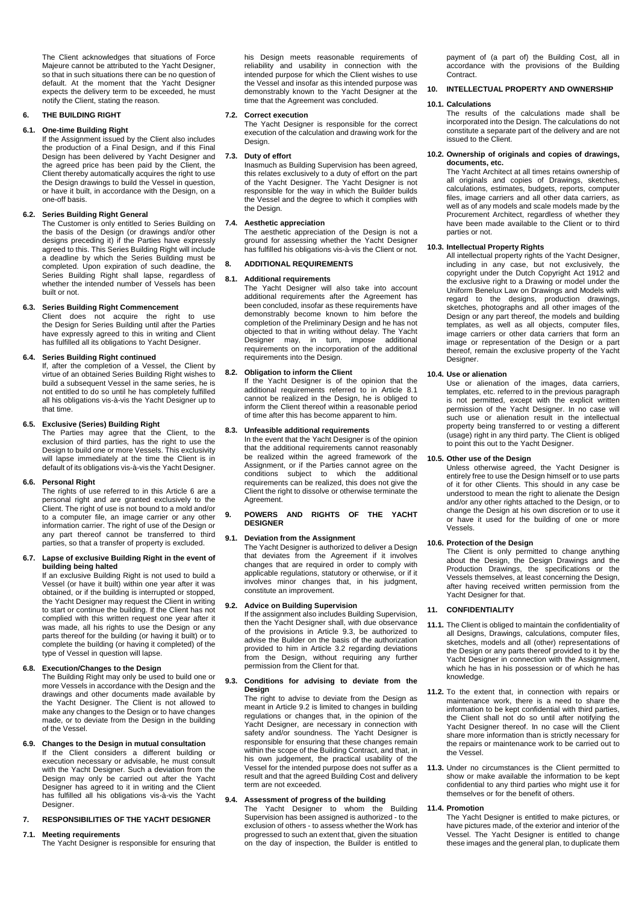The Client acknowledges that situations of Force Majeure cannot be attributed to the Yacht Designer, so that in such situations there can be no question of default. At the moment that the Yacht Designer expects the delivery term to be exceeded, he must notify the Client, stating the reason.

# **6. THE BUILDING RIGHT**

# **6.1. One-time Building Right**

If the Assignment issued by the Client also includes the production of a Final Design, and if this Final Design has been delivered by Yacht Designer and the agreed price has been paid by the Client, the Client thereby automatically acquires the right to use the Design drawings to build the Vessel in question, or have it built, in accordance with the Design, on a one-off basis.

# **6.2. Series Building Right General**

The Customer is only entitled to Series Building on the basis of the Design (or drawings and/or other designs preceding it) if the Parties have expressly agreed to this. This Series Building Right will include a deadline by which the Series Building must be completed. Upon expiration of such deadline, the Series Building Right shall lapse, regardless of whether the intended number of Vessels has been built or not.

# **6.3. Series Building Right Commencement**

Client does not acquire the right to use the Design for Series Building until after the Parties have expressly agreed to this in writing and Client has fulfilled all its obligations to Yacht Designer.

# **6.4. Series Building Right continued**

If, after the completion of a Vessel, the Client by virtue of an obtained Series Building Right wishes to build a subsequent Vessel in the same series, he is not entitled to do so until he has completely fulfilled all his obligations vis-à-vis the Yacht Designer up to that time.

## **6.5. Exclusive (Series) Building Right**

The Parties may agree that the Client, to the exclusion of third parties, has the right to use the Design to build one or more Vessels. This exclusivity will lapse immediately at the time the Client is in default of its obligations vis-à-vis the Yacht Designer.

# **6.6. Personal Right**

The rights of use referred to in this Article 6 are a personal right and are granted exclusively to the Client. The right of use is not bound to a mold and/or to a computer file, an image carrier or any other information carrier. The right of use of the Design or any part thereof cannot be transferred to third parties, so that a transfer of property is excluded.

### **6.7. Lapse of exclusive Building Right in the event of building being halted**

If an exclusive Building Right is not used to build a Vessel (or have it built) within one year after it was obtained, or if the building is interrupted or stopped, the Yacht Designer may request the Client in writing to start or continue the building. If the Client has not complied with this written request one year after it was made, all his rights to use the Design or any parts thereof for the building (or having it built) or to complete the building (or having it completed) of the type of Vessel in question will lapse.

# **6.8. Execution/Changes to the Design**

The Building Right may only be used to build one or more Vessels in accordance with the Design and the drawings and other documents made available by the Yacht Designer. The Client is not allowed to make any changes to the Design or to have changes made, or to deviate from the Design in the building of the Vessel.

# **6.9. Changes to the Design in mutual consultation**

If the Client considers a different building or execution necessary or advisable, he must consult with the Yacht Designer. Such a deviation from the Design may only be carried out after the Yacht Designer has agreed to it in writing and the Client has fulfilled all his obligations vis-à-vis the Yacht Designer.

# **7. RESPONSIBILITIES OF THE YACHT DESIGNER**

### **7.1. Meeting requirements**

The Yacht Designer is responsible for ensuring that

his Design meets reasonable requirements of reliability and usability in connection with the intended purpose for which the Client wishes to use the Vessel and insofar as this intended purpose was demonstrably known to the Yacht Designer at the time that the Agreement was concluded.

### **7.2. Correct execution**

The Yacht Designer is responsible for the correct execution of the calculation and drawing work for the Design.

# **7.3. Duty of effort**

Inasmuch as Building Supervision has been agreed, this relates exclusively to a duty of effort on the part of the Yacht Designer. The Yacht Designer is not responsible for the way in which the Builder builds the Vessel and the degree to which it complies with the Design.

### **7.4. Aesthetic appreciation**

The aesthetic appreciation of the Design is not a ground for assessing whether the Yacht Designer has fulfilled his obligations vis-à-vis the Client or not.

# **8. ADDITIONAL REQUIREMENTS**

#### <span id="page-2-0"></span>**8.1. Additional requirements**

The Yacht Designer will also take into account additional requirements after the Agreement has been concluded, insofar as these requirements have demonstrably become known to him before the completion of the Preliminary Design and he has not objected to that in writing without delay. The Yacht Designer may, in turn, impose additional requirements on the incorporation of the additional requirements into the Design.

### **8.2. Obligation to inform the Client**

If the Yacht Designer is of the opinion that the additional requirements referred to in Article [8.1](#page-2-0) cannot be realized in the Design, he is obliged to inform the Client thereof within a reasonable period of time after this has become apparent to him.

# **8.3. Unfeasible additional requirements**

In the event that the Yacht Designer is of the opinion that the additional requirements cannot reasonably be realized within the agreed framework of the Assignment, or if the Parties cannot agree on the conditions subject to which the additional requirements can be realized, this does not give the Client the right to dissolve or otherwise terminate the Agreement.

# **9. POWERS AND RIGHTS OF THE YACHT DESIGNER**

### **9.1. Deviation from the Assignment**

The Yacht Designer is authorized to deliver a Design that deviates from the Agreement if it involves changes that are required in order to comply with applicable regulations, statutory or otherwise, or if it involves minor changes that, in his judgment, constitute an improvement.

# <span id="page-2-2"></span>**9.2. Advice on Building Supervision**

If the assignment also includes Building Supervision, then the Yacht Designer shall, with due observance of the provisions in Article [9.3,](#page-2-1) be authorized to advise the Builder on the basis of the authorization provided to him in Article [3.2](#page-1-4) regarding deviations from the Design, without requiring any further permission from the Client for that.

### <span id="page-2-1"></span>**9.3. Conditions for advising to deviate from the Design**

The right to advise to deviate from the Design as meant in Article [9.2](#page-2-2) is limited to changes in building regulations or changes that, in the opinion of the Yacht Designer, are necessary in connection with safety and/or soundness. The Yacht Designer is responsible for ensuring that these changes remain within the scope of the Building Contract, and that, in his own judgement, the practical usability of the Vessel for the intended purpose does not suffer as a result and that the agreed Building Cost and delivery term are not exceeded.

# **9.4. Assessment of progress of the building**

The Yacht Designer to whom the Building Supervision has been assigned is authorized - to the exclusion of others - to assess whether the Work has progressed to such an extent that, given the situation on the day of inspection, the Builder is entitled to

payment of (a part of) the Building Cost, all in accordance with the provisions of the Building Contract.

### <span id="page-2-3"></span>**10. INTELLECTUAL PROPERTY AND OWNERSHIP**

#### **10.1. Calculations**

The results of the calculations made shall be incorporated into the Design. The calculations do not constitute a separate part of the delivery and are not issued to the Client.

### **10.2. Ownership of originals and copies of drawings, documents, etc.**

The Yacht Architect at all times retains ownership of all originals and copies of Drawings, sketches, calculations, estimates, budgets, reports, computer files, image carriers and all other data carriers, as well as of any models and scale models made by the Procurement Architect, regardless of whether they have been made available to the Client or to third parties or not.

#### **10.3. Intellectual Property Rights**

All intellectual property rights of the Yacht Designer, including in any case, but not exclusively, the copyright under the Dutch Copyright Act 1912 and the exclusive right to a Drawing or model under the Uniform Benelux Law on Drawings and Models with regard to the designs, production drawings, sketches, photographs and all other images of the Design or any part thereof, the models and building templates, as well as all objects, computer files, image carriers or other data carriers that form an image or representation of the Design or a part thereof, remain the exclusive property of the Yacht Designer.

# **10.4. Use or alienation**

Use or alienation of the images, data carriers, templates, etc. referred to in the previous paragraph is not permitted, except with the explicit written permission of the Yacht Designer. In no case will such use or alienation result in the intellectual property being transferred to or vesting a different (usage) right in any third party. The Client is obliged to point this out to the Yacht Designer.

# **10.5. Other use of the Design**

Unless otherwise agreed, the Yacht Designer is entirely free to use the Design himself or to use parts of it for other Clients. This should in any case be understood to mean the right to alienate the Design and/or any other rights attached to the Design, or to change the Design at his own discretion or to use it or have it used for the building of one or more Vessels.

# **10.6. Protection of the Design**

The Client is only permitted to change anything about the Design, the Design Drawings and the Production Drawings, the specifications or the Vessels themselves, at least concerning the Design, after having received written permission from the Yacht Designer for that.

# <span id="page-2-4"></span>**11. CONFIDENTIALITY**

- **11.1.** The Client is obliged to maintain the confidentiality of all Designs, Drawings, calculations, computer files, sketches, models and all (other) representations of the Design or any parts thereof provided to it by the Yacht Designer in connection with the Assignment, which he has in his possession or of which he has knowledge.
- **11.2.** To the extent that, in connection with repairs or maintenance work, there is a need to share the information to be kept confidential with third parties, the Client shall not do so until after notifying the Yacht Designer thereof. In no case will the Client share more information than is strictly necessary for the repairs or maintenance work to be carried out to the Vessel.
- **11.3.** Under no circumstances is the Client permitted to show or make available the information to be kept confidential to any third parties who might use it for themselves or for the benefit of others.

### **11.4. Promotion**

The Yacht Designer is entitled to make pictures, or have pictures made, of the exterior and interior of the Vessel. The Yacht Designer is entitled to change these images and the general plan, to duplicate them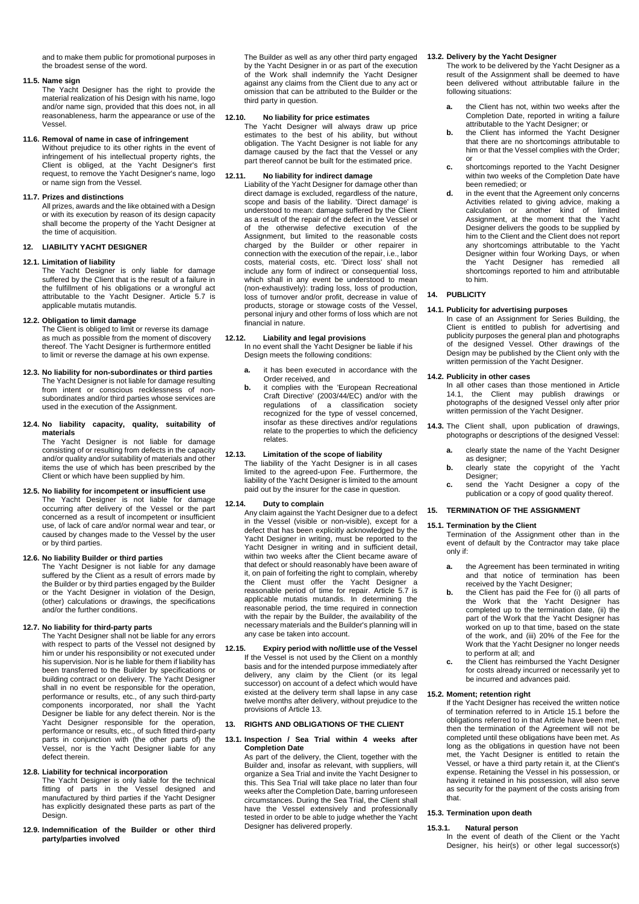and to make them public for promotional purposes in the broadest sense of the word.

### **11.5. Name sign**

The Yacht Designer has the right to provide the material realization of his Design with his name, logo and/or name sign, provided that this does not, in all reasonableness, harm the appearance or use of the Vessel.

### **11.6. Removal of name in case of infringement**

Without prejudice to its other rights in the event of infringement of his intellectual property rights, the Client is obliged, at the Yacht Designer's first request, to remove the Yacht Designer's name, logo or name sign from the Vessel.

# **11.7. Prizes and distinctions**

All prizes, awards and the like obtained with a Design or with its execution by reason of its design capacity shall become the property of the Yacht Designer at the time of acquisition.

### **12. LIABILITY YACHT DESIGNER**

# **12.1. Limitation of liability**

The Yacht Designer is only liable for damage suffered by the Client that is the result of a failure in the fulfillment of his obligations or a wrongful act attributable to the Yacht Designer. Article [5.7](#page-1-5) is applicable mutatis mutandis.

## **12.2. Obligation to limit damage**

The Client is obliged to limit or reverse its damage as much as possible from the moment of discovery thereof. The Yacht Designer is furthermore entitled to limit or reverse the damage at his own expense.

### **12.3. No liability for non-subordinates or third parties**

The Yacht Designer is not liable for damage resulting from intent or conscious recklessness of nonsubordinates and/or third parties whose services are used in the execution of the Assignment.

**12.4. No liability capacity, quality, suitability of materials**

The Yacht Designer is not liable for damage consisting of or resulting from defects in the capacity and/or quality and/or suitability of materials and other items the use of which has been prescribed by the Client or which have been supplied by him.

# **12.5. No liability for incompetent or insufficient use** The Yacht Designer is not liable for damage occurring after delivery of the Vessel or the part concerned as a result of incompetent or insufficient

use, of lack of care and/or normal wear and tear, or caused by changes made to the Vessel by the user or by third parties.

# **12.6. No liability Builder or third parties**

The Yacht Designer is not liable for any damage suffered by the Client as a result of errors made by the Builder or by third parties engaged by the Builder or the Yacht Designer in violation of the Design, (other) calculations or drawings, the specifications and/or the further conditions.

# **12.7. No liability for third-party parts**

The Yacht Designer shall not be liable for any errors with respect to parts of the Vessel not designed by him or under his responsibility or not executed under his supervision. Nor is he liable for them if liability has been transferred to the Builder by specifications or building contract or on delivery. The Yacht Designer shall in no event be responsible for the operation, performance or results, etc., of any such third-party components incorporated, nor shall the Designer be liable for any defect therein. Nor is the Yacht Designer responsible for the operation, performance or results, etc., of such fitted third-party parts in conjunction with (the other parts of) the Vessel, nor is the Yacht Designer liable for any defect therein.

# **12.8. Liability for technical incorporation**

The Yacht Designer is only liable for the technical fitting of parts in the Vessel designed and manufactured by third parties if the Yacht Designer has explicitly designated these parts as part of the Design.

**12.9. Indemnification of the Builder or other third party/parties involved**

The Builder as well as any other third party engaged by the Yacht Designer in or as part of the execution of the Work shall indemnify the Yacht Designer against any claims from the Client due to any act or omission that can be attributed to the Builder or the third party in question.

# **12.10. No liability for price estimates**

The Yacht Designer will always draw up price estimates to the best of his ability, but without obligation. The Yacht Designer is not liable for any damage caused by the fact that the Vessel or any part thereof cannot be built for the estimated price.

# **12.11. No liability for indirect damage**

Liability of the Yacht Designer for damage other than direct damage is excluded, regardless of the nature, scope and basis of the liability. 'Direct damage' is understood to mean: damage suffered by the Client as a result of the repair of the defect in the Vessel or of the otherwise defective execution of the Assignment, but limited to the reasonable costs charged by the Builder or other repairer in connection with the execution of the repair, i.e., labor costs, material costs, etc. 'Direct loss' shall not include any form of indirect or consequential loss, which shall in any event be understood to mean (non-exhaustively): trading loss, loss of production, loss of turnover and/or profit, decrease in value of products, storage or stowage costs of the Vessel, personal injury and other forms of loss which are not financial in nature.

#### **12.12. Liability and legal provisions**

In no event shall the Yacht Designer be liable if his Design meets the following conditions:

- **a.** it has been executed in accordance with the Order received, and
- **b.** it complies with the 'European Recreational Craft Directive' (2003/44/EC) and/or with the regulations of a classification society recognized for the type of vessel concerned, insofar as these directives and/or regulations relate to the properties to which the deficiency relates.

# **12.13. Limitation of the scope of liability**

The liability of the Yacht Designer is in all cases limited to the agreed-upon Fee. Furthermore, the liability of the Yacht Designer is limited to the amount paid out by the insurer for the case in question.

#### **12.14. Duty to complain**

Any claim against the Yacht Designer due to a defect in the Vessel (visible or non-visible), except for a defect that has been explicitly acknowledged by the Yacht Designer in writing, must be reported to the Yacht Designer in writing and in sufficient detail, within two weeks after the Client became aware of that defect or should reasonably have been aware of it, on pain of forfeiting the right to complain, whereby the Client must offer the Yacht Designer a reasonable period of time for repair. Article [5.7](#page-1-5) is applicable mutatis mutandis. In determining the reasonable period, the time required in connection with the repair by the Builder, the availability of the necessary materials and the Builder's planning will in any case be taken into account.

**12.15. Expiry period with no/little use of the Vessel** If the Vessel is not used by the Client on a monthly basis and for the intended purpose immediately after delivery, any claim by the Client (or its legal successor) on account of a defect which would have existed at the delivery term shall lapse in any case twelve months after delivery, without prejudice to the provisions of Article [13.](#page-3-0)

# <span id="page-3-0"></span>**13. RIGHTS AND OBLIGATIONS OF THE CLIENT**

#### **13.1. Inspection / Sea Trial within 4 weeks after Completion Date**

As part of the delivery, the Client, together with the Builder and, insofar as relevant, with suppliers, will organize a Sea Trial and invite the Yacht Designer to this. This Sea Trial will take place no later than four weeks after the Completion Date, barring unforeseen circumstances. During the Sea Trial, the Client shall have the Vessel extensively and professionally tested in order to be able to judge whether the Yacht Designer has delivered properly.

# **13.2. Delivery by the Yacht Designer**

The work to be delivered by the Yacht Designer as a result of the Assignment shall be deemed to have been delivered without attributable failure in the following situations:

- **a.** the Client has not, within two weeks after the Completion Date, reported in writing a failure attributable to the Yacht Designer; or
- **b.** the Client has informed the Yacht Designer that there are no shortcomings attributable to him or that the Vessel complies with the Order; or
- **c.** shortcomings reported to the Yacht Designer within two weeks of the Completion Date have been remedied; or
- **d.** in the event that the Agreement only concerns Activities related to giving advice, making a calculation or another kind of limited Assignment, at the moment that the Yacht Designer delivers the goods to be supplied by him to the Client and the Client does not report any shortcomings attributable to the Yacht Designer within four Working Days, or when<br>the Yacht Designer has remedied all Yacht Designer has remedied all shortcomings reported to him and attributable to him.

# **14. PUBLICITY**

# <span id="page-3-1"></span>**14.1. Publicity for advertising purposes**

In case of an Assignment for Series Building, the Client is entitled to publish for advertising and publicity purposes the general plan and photographs of the designed Vessel. Other drawings of the Design may be published by the Client only with the written permission of the Yacht Designer.

# **14.2. Publicity in other cases**

In all other cases than those mentioned in Article [14.1,](#page-3-1) the Client may publish drawings or photographs of the designed Vessel only after prior written permission of the Yacht Designer.

- **14.3.** The Client shall, upon publication of drawings, photographs or descriptions of the designed Vessel:
	- **a.** clearly state the name of the Yacht Designer as designer;
	- **b.** clearly state the copyright of the Yacht Designer: **c.** send the Yacht Designer a copy of the
	- publication or a copy of good quality thereof.

# **15. TERMINATION OF THE ASSIGNMENT**

# <span id="page-3-2"></span>**15.1. Termination by the Client**

Termination of the Assignment other than in the event of default by the Contractor may take place only if:

- **a.** the Agreement has been terminated in writing and that notice of termination has been received by the Yacht Designer;
- **b.** the Client has paid the Fee for (i) all parts of the Work that the Yacht Designer has completed up to the termination date, (ii) the part of the Work that the Yacht Designer has worked on up to that time, based on the state of the work, and (iii) 20% of the Fee for the Work that the Yacht Designer no longer needs to perform at all; and
- **c.** the Client has reimbursed the Yacht Designer for costs already incurred or necessarily yet to be incurred and advances paid.

# **15.2. Moment; retention right**

If the Yacht Designer has received the written notice of termination referred to in Article [15.1](#page-3-2) before the obligations referred to in that Article have been met, then the termination of the Agreement will not be completed until these obligations have been met. As long as the obligations in question have not been met, the Yacht Designer is entitled to retain the Vessel, or have a third party retain it, at the Client's expense. Retaining the Vessel in his possession, or having it retained in his possession, will also serve as security for the payment of the costs arising from that.

# **15.3. Termination upon death**

# **15.3.1. Natural person**

In the event of death of the Client or the Yacht Designer, his heir(s) or other legal successor(s)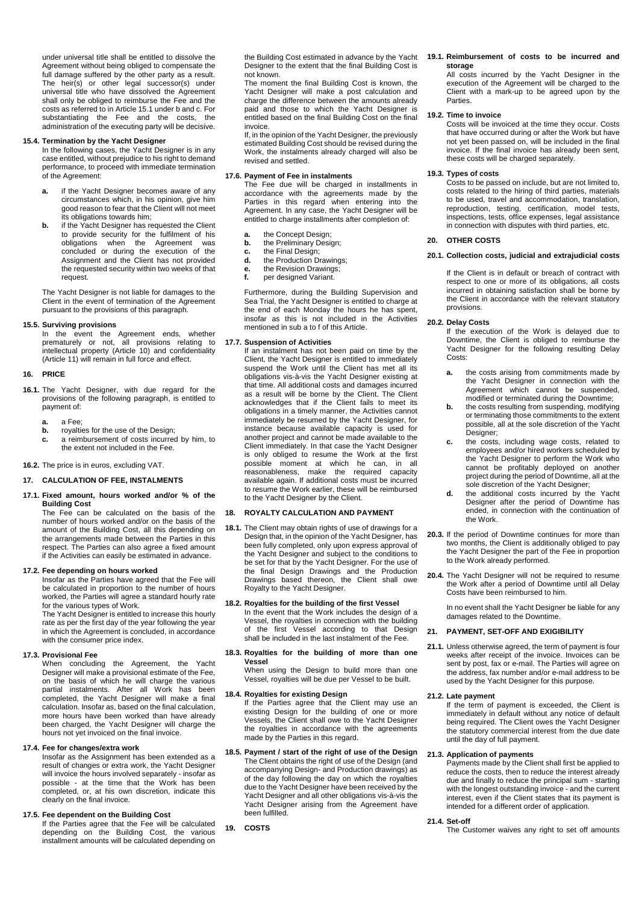under universal title shall be entitled to dissolve the Agreement without being obliged to compensate the full damage suffered by the other party as a result. The heir(s) or other legal successor(s) under universal title who have dissolved the Agreement shall only be obliged to reimburse the Fee and the costs as referred to in Article 15.1 under b and c. For substantiating the Fee and the costs, the administration of the executing party will be decisive.

## **15.4. Termination by the Yacht Designer**

In the following cases, the Yacht Designer is in any case entitled, without prejudice to his right to demand performance, to proceed with immediate termination of the Agreement:

- **a.** if the Yacht Designer becomes aware of any circumstances which, in his opinion, give him good reason to fear that the Client will not meet its obligations towards him;
- **b.** if the Yacht Designer has requested the Client to provide security for the fulfilment of his obligations when the Agreement was concluded or during the execution of the Assignment and the Client has not provided the requested security within two weeks of that request.

The Yacht Designer is not liable for damages to the Client in the event of termination of the Agreement pursuant to the provisions of this paragraph.

### **15.5. Surviving provisions**

In the event the Agreement ends, whether prematurely or not, all provisions relating to intellectual property (Article [10\)](#page-2-3) and confidentiality (Article [11\)](#page-2-4) will remain in full force and effect.

## **16. PRICE**

- **16.1.** The Yacht Designer, with due regard for the provisions of the following paragraph, is entitled to payment of:
	- **a.** a Fee;
	- royalties for the use of the Design;
	- **c.** a reimbursement of costs incurred by him, to the extent not included in the Fee.

**16.2.** The price is in euros, excluding VAT.

# **17. CALCULATION OF FEE, INSTALMENTS**

#### **17.1. Fixed amount, hours worked and/or % of the Building Cost**

The Fee can be calculated on the basis of the number of hours worked and/or on the basis of the amount of the Building Cost, all this depending on the arrangements made between the Parties in this respect. The Parties can also agree a fixed amount if the Activities can easily be estimated in advance.

## **17.2. Fee depending on hours worked**

Insofar as the Parties have agreed that the Fee will be calculated in proportion to the number of hours worked, the Parties will agree a standard hourly rate for the various types of Work.

The Yacht Designer is entitled to increase this hourly rate as per the first day of the year following the year in which the Agreement is concluded, in accordance with the consumer price index.

# **17.3. Provisional Fee**

When concluding the Agreement, the Yacht Designer will make a provisional estimate of the Fee, on the basis of which he will charge the various partial instalments. After all Work has been completed, the Yacht Designer will make a final calculation. Insofar as, based on the final calculation, more hours have been worked than have already been charged, the Yacht Designer will charge the hours not yet invoiced on the final invoice.

# **17.4. Fee for changes/extra work**

Insofar as the Assignment has been extended as a result of changes or extra work, the Yacht Designer will invoice the hours involved separately - insofar as possible - at the time that the Work has been completed, or, at his own discretion, indicate this clearly on the final invoice.

# **17.5. Fee dependent on the Building Cost**

If the Parties agree that the Fee will be calculated depending on the Building Cost, the various installment amounts will be calculated depending on

the Building Cost estimated in advance by the Yacht Designer to the extent that the final Building Cost is not known.

The moment the final Building Cost is known, the Yacht Designer will make a post calculation and charge the difference between the amounts already paid and those to which the Yacht Designer is entitled based on the final Building Cost on the final invoice.

If, in the opinion of the Yacht Designer, the previously estimated Building Cost should be revised during the Work, the instalments already charged will also be revised and settled.

#### **17.6. Payment of Fee in instalments**

The Fee due will be charged in installments in accordance with the agreements made by the Parties in this regard when entering into the Agreement. In any case, the Yacht Designer will be entitled to charge installments after completion of:

- 
- **a.** the Concept Design;<br>**b.** the Preliminary Design **b.** the Preliminary Design;<br>**c.** the Final Design;
- **c.** the Final Design;
- **d.** the Production Drawings;
- **e.** the Revision Drawings;<br>**f.** per designed Variant.
- per designed Variant.

Furthermore, during the Building Supervision and Sea Trial, the Yacht Designer is entitled to charge at the end of each Monday the hours he has spent, insofar as this is not included in the Activities mentioned in sub a to f of this Article.

### **17.7. Suspension of Activities**

If an instalment has not been paid on time by the Client, the Yacht Designer is entitled to immediately suspend the Work until the Client has met all its obligations vis-à-vis the Yacht Designer existing at that time. All additional costs and damages incurred as a result will be borne by the Client. The Client acknowledges that if the Client fails to meet its obligations in a timely manner, the Activities cannot immediately be resumed by the Yacht Designer, for instance because available capacity is used for another project and cannot be made available to the Client immediately. In that case the Yacht Designer is only obliged to resume the Work at the first possible moment at which he can, in all reasonableness, make the required capacity available again. If additional costs must be incurred to resume the Work earlier, these will be reimbursed to the Yacht Designer by the Client.

# **18. ROYALTY CALCULATION AND PAYMENT**

**18.1.** The Client may obtain rights of use of drawings for a Design that, in the opinion of the Yacht Designer, has been fully completed, only upon express approval of the Yacht Designer and subject to the conditions to be set for that by the Yacht Designer. For the use of the final Design Drawings and the Production Drawings based thereon, the Client shall owe Royalty to the Yacht Designer.

# **18.2. Royalties for the building of the first Vessel**

In the event that the Work includes the design of a Vessel, the royalties in connection with the building of the first Vessel according to that Design shall be included in the last instalment of the Fee.

### **18.3. Royalties for the building of more than one Vessel**

When using the Design to build more than one Vessel, royalties will be due per Vessel to be built.

# **18.4. Royalties for existing Design**

If the Parties agree that the Client may use an existing Design for the building of one or more Vessels, the Client shall owe to the Yacht Designer the royalties in accordance with the agreements made by the Parties in this regard.

- **18.5. Payment / start of the right of use of the Design** The Client obtains the right of use of the Design (and accompanying Design- and Production drawings) as of the day following the day on which the royalties due to the Yacht Designer have been received by the Yacht Designer and all other obligations vis-à-vis the Yacht Designer arising from the Agreement have been fulfilled.
- **19. COSTS**

#### **19.1. Reimbursement of costs to be incurred and storage**

All costs incurred by the Yacht Designer in the execution of the Agreement will be charged to the Client with a mark-up to be agreed upon by the Parties.

### **19.2. Time to invoice**

Costs will be invoiced at the time they occur. Costs that have occurred during or after the Work but have not yet been passed on, will be included in the final invoice. If the final invoice has already been sent, these costs will be charged separately.

#### **19.3. Types of costs**

Costs to be passed on include, but are not limited to, costs related to the hiring of third parties, materials to be used, travel and accommodation, translation, reproduction, testing, certification, model tests, inspections, tests, office expenses, legal assistance in connection with disputes with third parties, etc.

## **20. OTHER COSTS**

# **20.1. Collection costs, judicial and extrajudicial costs**

If the Client is in default or breach of contract with respect to one or more of its obligations, all costs incurred in obtaining satisfaction shall be borne by the Client in accordance with the relevant statutory provisions.

## <span id="page-4-0"></span>**20.2. Delay Costs**

If the execution of the Work is delayed due to Downtime, the Client is obliged to reimburse the Yacht Designer for the following resulting Delay Costs:

- **a.** the costs arising from commitments made by the Yacht Designer in connection with the Agreement which cannot be suspended, modified or terminated during the Downtime;
- **b.** the costs resulting from suspending, modifying or terminating those commitments to the extent possible, all at the sole discretion of the Yacht Designer;
- **c.** the costs, including wage costs, related to employees and/or hired workers scheduled by the Yacht Designer to perform the Work who cannot be profitably deployed on another project during the period of Downtime, all at the sole discretion of the Yacht Designer;
- **d.** the additional costs incurred by the Yacht Designer after the period of Downtime has ended, in connection with the continuation of the Work.
- **20.3.** If the period of Downtime continues for more than two months, the Client is additionally obliged to pay the Yacht Designer the part of the Fee in proportion to the Work already performed.
- **20.4.** The Yacht Designer will not be required to resume the Work after a period of Downtime until all Delay Costs have been reimbursed to him.

In no event shall the Yacht Designer be liable for any damages related to the Downtime.

#### **21. PAYMENT, SET-OFF AND EXIGIBILITY**

**21.1.** Unless otherwise agreed, the term of payment is four weeks after receipt of the invoice. Invoices can be sent by post, fax or e-mail. The Parties will agree on the address, fax number and/or e-mail address to be used by the Yacht Designer for this purpose.

### **21.2. Late payment**

If the term of payment is exceeded, the Client is immediately in default without any notice of default being required. The Client owes the Yacht Designer the statutory commercial interest from the due date until the day of full payment.

# **21.3. Application of payments**

Payments made by the Client shall first be applied to reduce the costs, then to reduce the interest already due and finally to reduce the principal sum - starting with the longest outstanding invoice - and the current interest, even if the Client states that its payment is intended for a different order of application.

## **21.4. Set-off**

The Customer waives any right to set off amounts